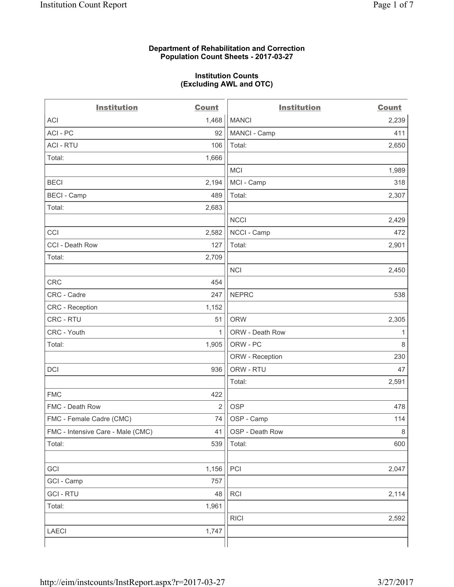### **Department of Rehabilitation and Correction Population Count Sheets - 2017-03-27**

### **Institution Counts (Excluding AWL and OTC)**

 $-$ 

| <b>Institution</b>                | <b>Count</b>   | <b>Institution</b> | <b>Count</b> |
|-----------------------------------|----------------|--------------------|--------------|
| ACI                               | 1,468          | <b>MANCI</b>       | 2,239        |
| ACI - PC                          | 92             | MANCI - Camp       | 411          |
| <b>ACI - RTU</b>                  | 106            | Total:             | 2,650        |
| Total:                            | 1,666          |                    |              |
|                                   |                | MCI                | 1,989        |
| <b>BECI</b>                       | 2,194          | MCI - Camp         | 318          |
| <b>BECI</b> - Camp                | 489            | Total:             | 2,307        |
| Total:                            | 2,683          |                    |              |
|                                   |                | <b>NCCI</b>        | 2,429        |
| CCI                               | 2,582          | NCCI - Camp        | 472          |
| CCI - Death Row                   | 127            | Total:             | 2,901        |
| Total:                            | 2,709          |                    |              |
|                                   |                | <b>NCI</b>         | 2,450        |
| <b>CRC</b>                        | 454            |                    |              |
| CRC - Cadre                       | 247            | <b>NEPRC</b>       | 538          |
| CRC - Reception                   | 1,152          |                    |              |
| CRC - RTU                         | 51             | <b>ORW</b>         | 2,305        |
| CRC - Youth                       | $\mathbf{1}$   | ORW - Death Row    | 1            |
| Total:                            | 1,905          | ORW - PC           | 8            |
|                                   |                | ORW - Reception    | 230          |
| DCI                               | 936            | ORW - RTU          | 47           |
|                                   |                | Total:             | 2,591        |
| <b>FMC</b>                        | 422            |                    |              |
| FMC - Death Row                   | $\overline{2}$ | <b>OSP</b>         | 478          |
| FMC - Female Cadre (CMC)          | 74             | OSP - Camp         | 114          |
| FMC - Intensive Care - Male (CMC) | 41             | OSP - Death Row    | 8            |
| Total:                            | 539            | Total:             | 600          |
|                                   |                |                    |              |
| GCI                               | 1,156          | PCI                | 2,047        |
| GCI - Camp                        | 757            |                    |              |
| <b>GCI-RTU</b>                    | 48             | RCI                | 2,114        |
| Total:                            | 1,961          |                    |              |
|                                   |                | <b>RICI</b>        | 2,592        |
| LAECI                             | 1,747          |                    |              |
|                                   |                |                    |              |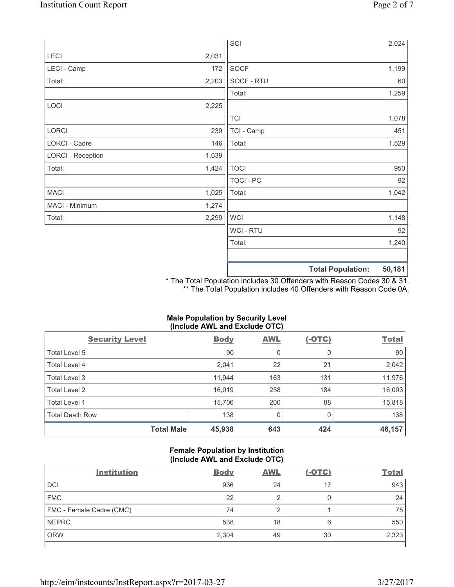|                          |       | SCI            |                          | 2,024  |
|--------------------------|-------|----------------|--------------------------|--------|
| LECI                     | 2,031 |                |                          |        |
| LECI - Camp              | 172   | SOCF           |                          | 1,199  |
| Total:                   | 2,203 | SOCF - RTU     |                          | 60     |
|                          |       | Total:         |                          | 1,259  |
| LOCI                     | 2,225 |                |                          |        |
|                          |       | <b>TCI</b>     |                          | 1,078  |
| LORCI                    | 239   | TCI - Camp     |                          | 451    |
| LORCI - Cadre            | 146   | Total:         |                          | 1,529  |
| <b>LORCI - Reception</b> | 1,039 |                |                          |        |
| Total:                   | 1,424 | <b>TOCI</b>    |                          | 950    |
|                          |       | TOCI - PC      |                          | 92     |
| <b>MACI</b>              | 1,025 | Total:         |                          | 1,042  |
| MACI - Minimum           | 1,274 |                |                          |        |
| Total:                   | 2,299 | <b>WCI</b>     |                          | 1,148  |
|                          |       | <b>WCI-RTU</b> |                          | 92     |
|                          |       | Total:         |                          | 1,240  |
|                          |       |                | <b>Total Population:</b> | 50,181 |

\* The Total Population includes 30 Offenders with Reason Codes 30 & 31. \*\* The Total Population includes 40 Offenders with Reason Code 0A.

## **Male Population by Security Level (Include AWL and Exclude OTC)**

| $\mathbf{v}$<br><b>Security Level</b> | <b>Body</b> | $\mathbf{r}$<br><b>AWL</b> | $(-OTC)$     | <b>Total</b> |
|---------------------------------------|-------------|----------------------------|--------------|--------------|
| Total Level 5                         | 90          | 0                          | 0            | 90           |
| Total Level 4                         | 2,041       | 22                         | 21           | 2,042        |
| Total Level 3                         | 11,944      | 163                        | 131          | 11,976       |
| Total Level 2                         | 16,019      | 258                        | 184          | 16,093       |
| Total Level 1                         | 15,706      | 200                        | 88           | 15,818       |
| <b>Total Death Row</b>                | 138         | $\mathbf{0}$               | <sup>0</sup> | 138          |
| <b>Total Male</b>                     | 45,938      | 643                        | 424          | 46,157       |

## **Female Population by Institution (Include AWL and Exclude OTC)**

| <b>Institution</b>       | <b>Body</b> | <b>AWL</b> | <u>(-OTC)</u> | <b>Total</b> |
|--------------------------|-------------|------------|---------------|--------------|
| <b>DCI</b>               | 936         | 24         | 17            | 943          |
| <b>FMC</b>               | 22          |            | 0             | 24           |
| FMC - Female Cadre (CMC) | 74          | ◠          |               | 75           |
| <b>NEPRC</b>             | 538         | 18         | 6             | 550          |
| <b>ORW</b>               | 2,304       | 49         | 30            | 2,323        |
|                          |             |            |               |              |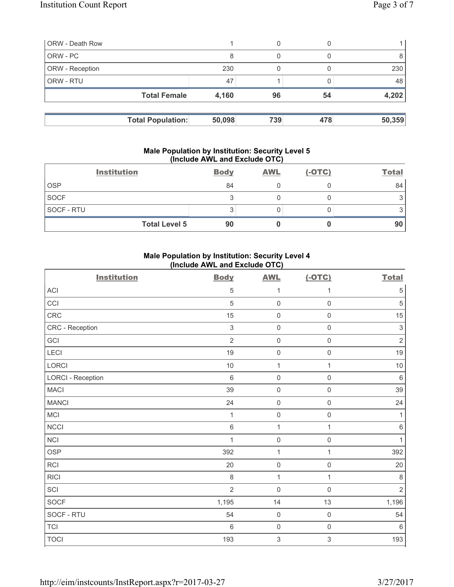| <b>ORW</b> - Death Row   |        | 0   |     |        |
|--------------------------|--------|-----|-----|--------|
| ORW - PC                 | 8      |     |     |        |
| ORW - Reception          | 230    |     |     | 230    |
| <b>ORW - RTU</b>         | 47     |     |     | 48     |
| <b>Total Female</b>      | 4,160  | 96  | 54  | 4,202  |
|                          |        |     |     |        |
| <b>Total Population:</b> | 50,098 | 739 | 478 | 50,359 |

#### **Male Population by Institution: Security Level 5 (Include AWL and Exclude OTC)**

| <b>Institution</b>   | <b>Body</b> | <b>AWL</b> | $(-OTC)$ | <b>Total</b> |
|----------------------|-------------|------------|----------|--------------|
| <b>OSP</b>           | 84          |            |          | 84           |
| <b>SOCF</b>          |             |            |          |              |
| SOCF - RTU           | ◠<br>J      |            |          |              |
| <b>Total Level 5</b> | 90          |            |          | 90           |

# **Male Population by Institution: Security Level 4 (Include AWL and Exclude OTC)**

| <b>Institution</b>       | <b>Body</b>    | <b>AWL</b>          | $(-OTC)$            | <b>Total</b>   |
|--------------------------|----------------|---------------------|---------------------|----------------|
| <b>ACI</b>               | 5              | 1                   | 1                   | $\,$ 5 $\,$    |
| CCI                      | 5              | $\mathsf{O}\xspace$ | $\mathbf 0$         | $\sqrt{5}$     |
| CRC                      | 15             | $\mathsf{O}\xspace$ | $\mathsf 0$         | 15             |
| CRC - Reception          | $\mathsf 3$    | $\mathsf{O}\xspace$ | $\mathsf 0$         | $\sqrt{3}$     |
| GCI                      | $\overline{2}$ | $\mathsf{O}\xspace$ | $\mathsf 0$         | $\sqrt{2}$     |
| LECI                     | 19             | $\mathsf{O}\xspace$ | $\mathsf 0$         | 19             |
| LORCI                    | $10$           | $\mathbf{1}$        | $\mathbf{1}$        | $10$           |
| <b>LORCI - Reception</b> | $\,6\,$        | 0                   | $\mathsf 0$         | $\,6\,$        |
| <b>MACI</b>              | 39             | $\mathsf{O}\xspace$ | $\mathsf 0$         | 39             |
| <b>MANCI</b>             | 24             | $\mathsf{O}\xspace$ | $\mathsf 0$         | 24             |
| MCI                      | 1              | $\mathsf{O}\xspace$ | $\mathsf{O}\xspace$ | 1              |
| <b>NCCI</b>              | $\,6\,$        | $\mathbf{1}$        | $\mathbf{1}$        | 6              |
| <b>NCI</b>               | $\mathbf{1}$   | $\mathsf{O}\xspace$ | $\mathsf 0$         | 1              |
| <b>OSP</b>               | 392            | 1                   | $\mathbf{1}$        | 392            |
| <b>RCI</b>               | 20             | $\mathsf{O}\xspace$ | $\mathsf 0$         | 20             |
| <b>RICI</b>              | 8              | $\mathbf{1}$        | $\mathbf{1}$        | $\,8\,$        |
| SCI                      | $\overline{2}$ | $\mathsf{O}\xspace$ | $\mathsf 0$         | $\overline{2}$ |
| <b>SOCF</b>              | 1,195          | 14                  | 13                  | 1,196          |
| SOCF - RTU               | 54             | $\mathsf{O}\xspace$ | $\mathsf{O}\xspace$ | 54             |
| <b>TCI</b>               | $\,6\,$        | $\mathsf{O}\xspace$ | $\mathsf 0$         | $\,6\,$        |
| <b>TOCI</b>              | 193            | $\mathsf 3$         | 3                   | 193            |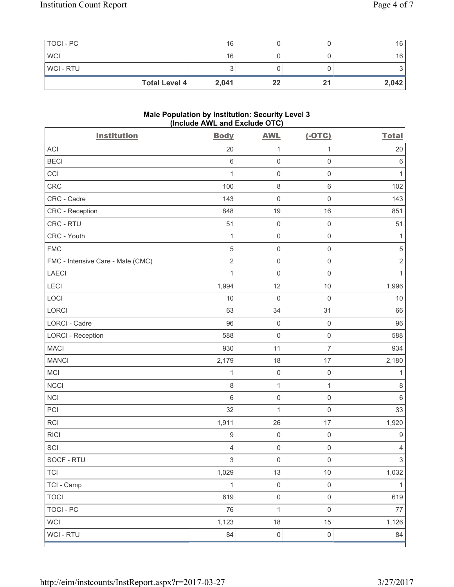| TOCI - PC            | 16    |    | 16    |
|----------------------|-------|----|-------|
| <b>WCI</b>           | 16    |    | 16    |
| <b>WCI-RTU</b>       |       |    |       |
| <b>Total Level 4</b> | 2,041 | 22 | 2,042 |

### **Male Population by Institution: Security Level 3 (Include AWL and Exclude OTC)**

| <b>Institution</b>                | <b>Body</b>    | <b>AWL</b>          | $(-OTC)$            | <b>Total</b>   |
|-----------------------------------|----------------|---------------------|---------------------|----------------|
| <b>ACI</b>                        | 20             | 1                   | 1                   | 20             |
| <b>BECI</b>                       | 6              | $\mathsf{O}\xspace$ | $\mathsf 0$         | $\,6$          |
| CCI                               | $\mathbf{1}$   | $\mathsf{O}\xspace$ | $\mathsf{O}\xspace$ | 1              |
| CRC                               | 100            | $\,8\,$             | $6\,$               | 102            |
| CRC - Cadre                       | 143            | $\mathsf{O}\xspace$ | $\mathsf{O}\xspace$ | 143            |
| <b>CRC</b> - Reception            | 848            | 19                  | 16                  | 851            |
| CRC - RTU                         | 51             | $\mathsf{O}\xspace$ | $\mathsf 0$         | 51             |
| CRC - Youth                       | $\mathbf{1}$   | $\mathsf{O}\xspace$ | $\mathsf 0$         | 1              |
| <b>FMC</b>                        | $\sqrt{5}$     | $\mathsf{O}\xspace$ | $\mathsf{O}\xspace$ | $\sqrt{5}$     |
| FMC - Intensive Care - Male (CMC) | $\overline{2}$ | $\mathsf{O}\xspace$ | $\mathsf 0$         | $\mathbf 2$    |
| <b>LAECI</b>                      | $\mathbf{1}$   | $\mathsf{O}\xspace$ | $\mathsf 0$         | $\mathbf{1}$   |
| LECI                              | 1,994          | 12                  | $10$                | 1,996          |
| LOCI                              | 10             | $\mathbf 0$         | $\mathbf 0$         | 10             |
| <b>LORCI</b>                      | 63             | 34                  | 31                  | 66             |
| LORCI - Cadre                     | 96             | $\mathbf 0$         | $\mathsf 0$         | 96             |
| <b>LORCI - Reception</b>          | 588            | $\mathsf{O}\xspace$ | $\mathsf 0$         | 588            |
| <b>MACI</b>                       | 930            | 11                  | $\overline{7}$      | 934            |
| <b>MANCI</b>                      | 2,179          | 18                  | 17                  | 2,180          |
| MCI                               | $\mathbf{1}$   | $\mathsf{O}\xspace$ | $\mathsf 0$         | 1              |
| <b>NCCI</b>                       | 8              | $\mathbf{1}$        | $\mathbf{1}$        | $\,8\,$        |
| <b>NCI</b>                        | 6              | $\mathsf{O}\xspace$ | $\mathsf 0$         | $\,6$          |
| PCI                               | 32             | $\mathbf{1}$        | $\mathsf 0$         | 33             |
| RCI                               | 1,911          | 26                  | 17                  | 1,920          |
| <b>RICI</b>                       | $\hbox{9}$     | $\mathsf{O}\xspace$ | $\mathsf 0$         | $\hbox{9}$     |
| SCI                               | 4              | $\mathsf{O}\xspace$ | $\mathsf 0$         | $\overline{4}$ |
| SOCF - RTU                        | 3              | $\mathsf 0$         | $\mathsf{O}\xspace$ | $\overline{3}$ |
| TCI                               | 1,029          | 13                  | 10                  | 1,032          |
| TCI - Camp                        | $\mathbf{1}$   | $\mathsf 0$         | $\mathbf 0$         | $\mathbf{1}$   |
| <b>TOCI</b>                       | 619            | $\mathsf{O}\xspace$ | $\mathsf{O}\xspace$ | 619            |
| <b>TOCI - PC</b>                  | 76             | $\mathbf{1}$        | $\mathbf 0$         | $77\,$         |
| <b>WCI</b>                        | 1,123          | 18                  | 15                  | 1,126          |
| WCI - RTU                         | 84             | $\mathsf{O}\xspace$ | $\mathsf 0$         | 84             |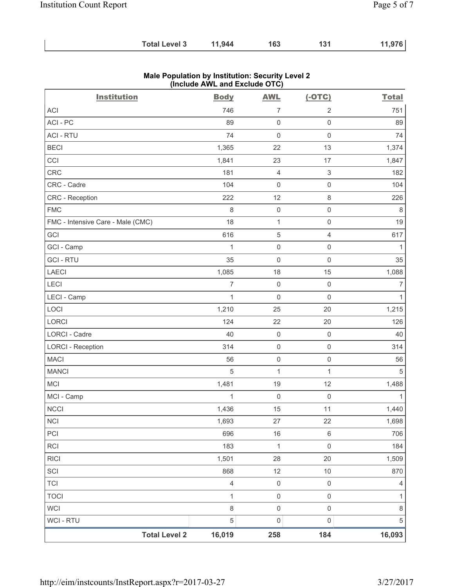| <b>Total Level 3</b> | 11,944 | 163 | 131 | 11,976 |
|----------------------|--------|-----|-----|--------|
|----------------------|--------|-----|-----|--------|

| <b>Institution</b>                | <b>Body</b>    | <b>AWL</b>          | $(-OTC)$                  | <b>Total</b> |
|-----------------------------------|----------------|---------------------|---------------------------|--------------|
| <b>ACI</b>                        | 746            | $\overline{7}$      | $\overline{2}$            | 751          |
| ACI-PC                            | 89             | $\mathsf 0$         | $\mathsf{O}\xspace$       | 89           |
| <b>ACI - RTU</b>                  | 74             | $\mathsf 0$         | $\mathsf 0$               | 74           |
| <b>BECI</b>                       | 1,365          | 22                  | 13                        | 1,374        |
| CCI                               | 1,841          | 23                  | 17                        | 1,847        |
| <b>CRC</b>                        | 181            | 4                   | $\ensuremath{\mathsf{3}}$ | 182          |
| CRC - Cadre                       | 104            | $\mathsf{O}\xspace$ | $\mathsf 0$               | 104          |
| <b>CRC</b> - Reception            | 222            | 12                  | $\,8\,$                   | 226          |
| <b>FMC</b>                        | 8              | $\mathsf{O}\xspace$ | $\mathsf 0$               | 8            |
| FMC - Intensive Care - Male (CMC) | 18             | $\mathbf{1}$        | $\mathsf 0$               | 19           |
| GCI                               | 616            | $\mathbf 5$         | $\overline{4}$            | 617          |
| GCI - Camp                        | $\mathbf{1}$   | $\mathsf{O}\xspace$ | $\mathsf{O}\xspace$       | $\mathbf{1}$ |
| <b>GCI-RTU</b>                    | 35             | $\mathsf 0$         | $\mathsf 0$               | 35           |
| <b>LAECI</b>                      | 1,085          | 18                  | 15                        | 1,088        |
| LECI                              | $\overline{7}$ | $\mathsf 0$         | $\mathsf 0$               | 7            |
| LECI - Camp                       | $\mathbf{1}$   | 0                   | $\mathbf 0$               | 1            |
| LOCI                              | 1,210          | 25                  | 20                        | 1,215        |
| LORCI                             | 124            | 22                  | 20                        | 126          |
| <b>LORCI - Cadre</b>              | 40             | $\mathsf 0$         | $\mathsf 0$               | 40           |
| <b>LORCI - Reception</b>          | 314            | $\mathsf{O}\xspace$ | $\mathsf 0$               | 314          |
| <b>MACI</b>                       | 56             | $\boldsymbol{0}$    | $\mathsf 0$               | 56           |
| <b>MANCI</b>                      | 5              | $\mathbf{1}$        | $\mathbf{1}$              | $\sqrt{5}$   |
| MCI                               | 1,481          | 19                  | 12                        | 1,488        |
| MCI - Camp                        | $\mathbf{1}$   | $\mathsf{O}\xspace$ | $\mathsf 0$               | 1            |
| NCCI                              | 1,436          | 15                  | 11                        | 1,440        |
| <b>NCI</b>                        | 1,693          | 27                  | 22                        | 1,698        |
| PCI                               | 696            | 16                  | $\,6\,$                   | 706          |
| RCI                               | 183            | $\mathbf{1}$        | $\mathsf 0$               | 184          |
| <b>RICI</b>                       | 1,501          | 28                  | 20                        | 1,509        |
| SCI                               | 868            | 12                  | $10$                      | 870          |
| <b>TCI</b>                        | $\overline{4}$ | $\mathsf{O}\xspace$ | $\mathsf{O}\xspace$       | 4            |
| <b>TOCI</b>                       | $\mathbf{1}$   | $\mathsf{O}\xspace$ | $\mathsf{O}\xspace$       | 1            |
| <b>WCI</b>                        | $\,8\,$        | $\mathsf 0$         | $\mathsf 0$               | 8            |
| WCI - RTU                         | $\overline{5}$ | $\mathsf{O}\xspace$ | $\mathsf 0$               | $\sqrt{5}$   |
| <b>Total Level 2</b>              | 16,019         | 258                 | 184                       | 16,093       |

### **Male Population by Institution: Security Level 2 (Include AWL and Exclude OTC)**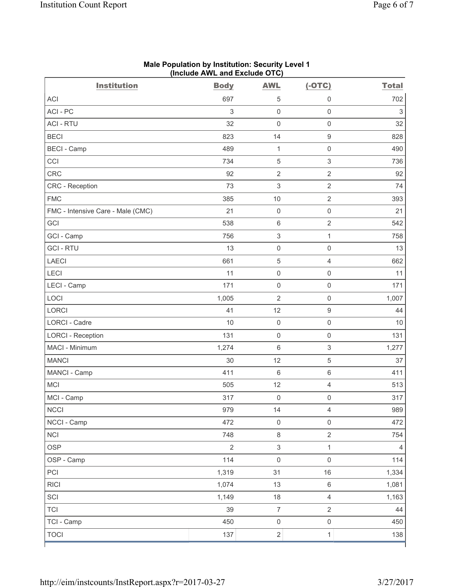| <b>Institution</b>                | <b>Body</b>    | <b>AWL</b>          | $(-OTC)$            | <b>Total</b>   |
|-----------------------------------|----------------|---------------------|---------------------|----------------|
| <b>ACI</b>                        | 697            | 5                   | 0                   | 702            |
| ACI-PC                            | 3              | $\mathbf 0$         | $\mathbf 0$         | $\mathfrak{S}$ |
| <b>ACI - RTU</b>                  | 32             | $\mathbf 0$         | $\mathsf{O}\xspace$ | 32             |
| <b>BECI</b>                       | 823            | 14                  | $\boldsymbol{9}$    | 828            |
| <b>BECI</b> - Camp                | 489            | $\mathbf 1$         | $\mathbf 0$         | 490            |
| CCI                               | 734            | 5                   | $\sqrt{3}$          | 736            |
| <b>CRC</b>                        | 92             | $\overline{2}$      | $\overline{2}$      | 92             |
| CRC - Reception                   | 73             | $\sqrt{3}$          | $\overline{2}$      | 74             |
| <b>FMC</b>                        | 385            | 10                  | $\overline{2}$      | 393            |
| FMC - Intensive Care - Male (CMC) | 21             | $\mathbf 0$         | $\mathsf 0$         | 21             |
| GCI                               | 538            | $\,6\,$             | $\sqrt{2}$          | 542            |
| GCI - Camp                        | 756            | $\sqrt{3}$          | $\mathbf{1}$        | 758            |
| <b>GCI-RTU</b>                    | 13             | $\mathbf 0$         | $\mathsf{O}\xspace$ | 13             |
| <b>LAECI</b>                      | 661            | $\overline{5}$      | $\overline{4}$      | 662            |
| LECI                              | 11             | $\mathsf{O}\xspace$ | $\mathsf{O}\xspace$ | 11             |
| LECI - Camp                       | 171            | $\mathbf 0$         | $\mathbf 0$         | 171            |
| LOCI                              | 1,005          | $\overline{2}$      | $\mathsf{O}\xspace$ | 1,007          |
| <b>LORCI</b>                      | 41             | 12                  | $\boldsymbol{9}$    | 44             |
| <b>LORCI - Cadre</b>              | 10             | $\mathsf{O}\xspace$ | $\mathsf 0$         | 10             |
| <b>LORCI - Reception</b>          | 131            | $\mathsf{O}\xspace$ | $\mathsf{O}\xspace$ | 131            |
| MACI - Minimum                    | 1,274          | $\,6\,$             | $\mathsf 3$         | 1,277          |
| <b>MANCI</b>                      | 30             | 12                  | 5                   | 37             |
| MANCI - Camp                      | 411            | $\,6\,$             | $\,6\,$             | 411            |
| <b>MCI</b>                        | 505            | 12                  | $\overline{4}$      | 513            |
| MCI - Camp                        | 317            | $\mathsf{O}\xspace$ | $\mathsf{O}\xspace$ | 317            |
| <b>NCCI</b>                       | 979            | 14                  | $\overline{4}$      | 989            |
| NCCI - Camp                       | 472            | $\mathsf 0$         | $\mathsf 0$         | 472            |
| <b>NCI</b>                        | 748            | $\,8\,$             | $\overline{2}$      | 754            |
| <b>OSP</b>                        | $\overline{2}$ | $\sqrt{3}$          | $\mathbf{1}$        | $\overline{4}$ |
| OSP - Camp                        | 114            | $\mathbf 0$         | $\mathsf 0$         | 114            |
| PCI                               | 1,319          | 31                  | 16                  | 1,334          |
| <b>RICI</b>                       | 1,074          | 13                  | $\,6\,$             | 1,081          |
| SCI                               | 1,149          | 18                  | $\overline{4}$      | 1,163          |
| <b>TCI</b>                        | 39             | $\boldsymbol{7}$    | $\mathbf 2$         | 44             |
| TCI - Camp                        | 450            | $\mathsf 0$         | $\mathsf 0$         | 450            |
| <b>TOCI</b>                       | 137            | $\overline{2}$      | $\mathbf{1}$        | 138            |

#### **Male Population by Institution: Security Level 1 (Include AWL and Exclude OTC)**